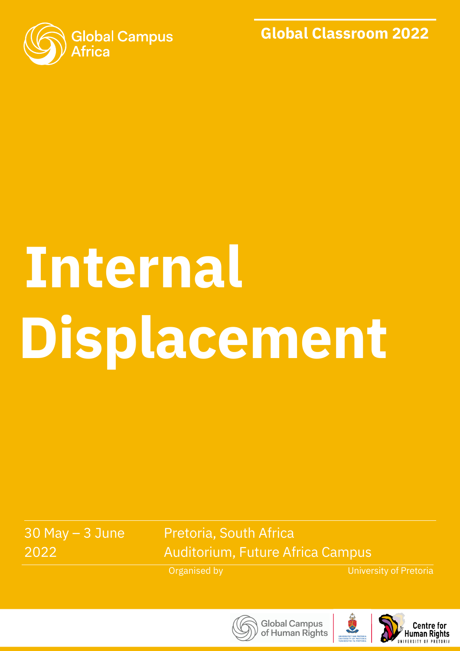

**Global Classroom 2022**

# **Displacement Internal**

30 May – 3 June 2022

Pretoria, South Africa Auditorium, Future Africa Campus

Organised by

University of Pretoria



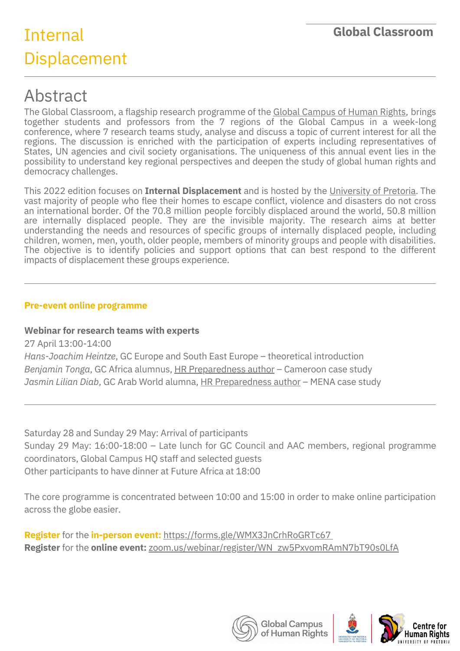# Internal Displacement

## Abstract

The Global Classroom, a flagship research programme of the Global [Campus](http://gchumanrights.org/) of Human Rights, brings together students and professors from the 7 regions of the Global Campus in a week-long conference, where 7 research teams study, analyse and discuss a topic of current interest for all the regions. The discussion is enriched with the participation of experts including representatives of States, UN agencies and civil society organisations. The uniqueness of this annual event lies in the possibility to understand key regional perspectives and deepen the study of global human rights and democracy challenges.

This 2022 edition focuses on **Internal Displacement** and is hosted by the [University](https://www.chr.up.ac.za/) of Pretoria. The vast majority of people who flee their homes to escape conflict, violence and disasters do not cross an international border. Of the 70.8 million people forcibly displaced around the world, 50.8 million are internally displaced people. They are the invisible majority. The research aims at better understanding the needs and resources of specific groups of internally displaced people, including children, women, men, youth, older people, members of minority groups and people with disabilities. The objective is to identify policies and support options that can best respond to the different impacts of displacement these groups experience.

#### **Pre-event online programme**

#### **Webinar for research teams with experts**

27 April 13:00-14:00 *Hans-Joachim Heintze*, GC Europe and South East Europe – theoretical introduction *Benjamin Tonga*, GC Africa alumnus, HR [Preparedness](https://gchumanrights.org/preparedness/article-on/the-impact-of-covid-19-on-human-rights-response-during-concurrent-protection-crises-in-cameroon.html) author – Cameroon case study *Jasmin Lilian Diab*, GC Arab World alumna, HR [Preparedness](https://gchumanrights.org/preparedness/article-on/covid-19-driving-child-marriage-for-refugee-girls-in-middle-east-north-africa-mena.html) author – MENA case study

Saturday 28 and Sunday 29 May: Arrival of participants Sunday 29 May: 16:00-18:00 – Late lunch for GC Council and AAC members, regional programme coordinators, Global Campus HQ staff and selected guests Other participants to have dinner at Future Africa at 18:00

The core programme is concentrated between 10:00 and 15:00 in order to make online participation across the globe easier.

**Register** for the **in-person event:** <https://forms.gle/WMX3JnCrhRoGRTc67> **Register** for the **online event:** [zoom.us/webinar/register/WN\\_zw5PxvomRAmN7bT90s0LfA](http://zoom.us/webinar/register/WN_zw5PxvomRAmN7bT90s0LfA)

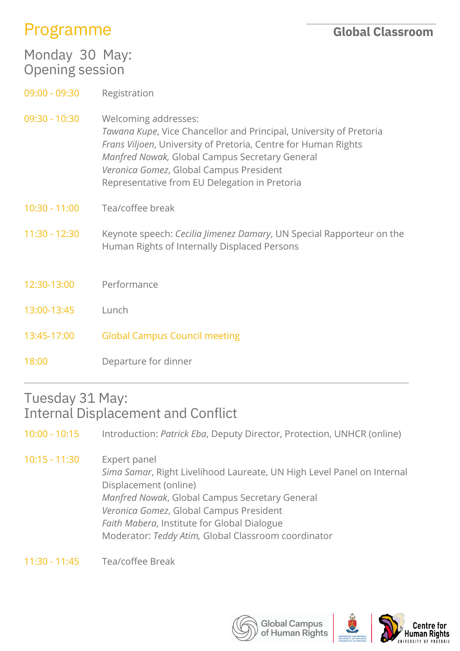## Programme

| Monday 30 May:<br><b>Opening session</b> |                                                                                                                                                                                                                                                                                                            |
|------------------------------------------|------------------------------------------------------------------------------------------------------------------------------------------------------------------------------------------------------------------------------------------------------------------------------------------------------------|
| $09:00 - 09:30$                          | Registration                                                                                                                                                                                                                                                                                               |
| $09:30 - 10:30$                          | Welcoming addresses:<br>Tawana Kupe, Vice Chancellor and Principal, University of Pretoria<br>Frans Viljoen, University of Pretoria, Centre for Human Rights<br>Manfred Nowak, Global Campus Secretary General<br>Veronica Gomez, Global Campus President<br>Representative from EU Delegation in Pretoria |
| $10:30 - 11:00$                          | Tea/coffee break                                                                                                                                                                                                                                                                                           |
| $11:30 - 12:30$                          | Keynote speech: Cecilia Jimenez Damary, UN Special Rapporteur on the<br>Human Rights of Internally Displaced Persons                                                                                                                                                                                       |
| 12:30-13:00                              | Performance                                                                                                                                                                                                                                                                                                |
| 13:00-13:45                              | Lunch                                                                                                                                                                                                                                                                                                      |
| 13:45-17:00                              | <b>Global Campus Council meeting</b>                                                                                                                                                                                                                                                                       |
| 18:00                                    | Departure for dinner                                                                                                                                                                                                                                                                                       |

#### Tuesday 31 May: Internal Displacement and Conflict

10:00 - 10:15 Introduction: *Patrick Eba*, Deputy Director, Protection, UNHCR (online)

10:15 - 11:30 Expert panel *Sima Samar*, Right Livelihood Laureate, UN High Level Panel on Internal Displacement (online) *Manfred Nowak*, Global Campus Secretary General *Veronica Gomez*, Global Campus President *Faith Mabera*, Institute for Global Dialogue Moderator: *Teddy Atim,* Global Classroom coordinator

11:30 - 11:45 Tea/coffee Break

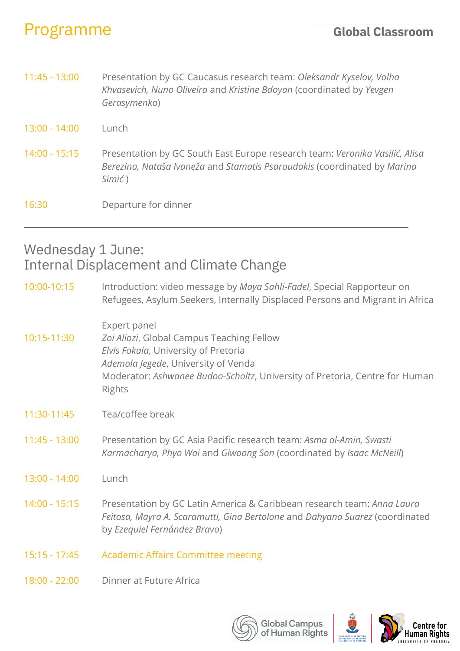## Programme

| $11:45 - 13:00$ | Presentation by GC Caucasus research team: Oleksandr Kyselov, Volha<br>Khvasevich, Nuno Oliveira and Kristine Bdoyan (coordinated by Yevgen<br>Gerasymenko)       |
|-----------------|-------------------------------------------------------------------------------------------------------------------------------------------------------------------|
| 13:00 - 14:00   | Lunch                                                                                                                                                             |
| $14:00 - 15:15$ | Presentation by GC South East Europe research team: Veronika Vasilić, Alisa<br>Berezina, Nataša Ivaneža and Stamatis Psaroudakis (coordinated by Marina<br>Simić) |
| 16:30           | Departure for dinner                                                                                                                                              |

## Wednesday 1 June: Internal Displacement and Climate Change

| 10:00-10:15     | Introduction: video message by Maya Sahli-Fadel, Special Rapporteur on<br>Refugees, Asylum Seekers, Internally Displaced Persons and Migrant in Africa                                                                            |
|-----------------|-----------------------------------------------------------------------------------------------------------------------------------------------------------------------------------------------------------------------------------|
| 10:15-11:30     | Expert panel<br>Zoi Aliozi, Global Campus Teaching Fellow<br>Elvis Fokala, University of Pretoria<br>Ademola Jegede, University of Venda<br>Moderator: Ashwanee Budoo-Scholtz, University of Pretoria, Centre for Human<br>Rights |
| 11:30-11:45     | Tea/coffee break                                                                                                                                                                                                                  |
| 11:45 - 13:00   | Presentation by GC Asia Pacific research team: Asma al-Amin, Swasti<br>Karmacharya, Phyo Wai and Giwoong Son (coordinated by Isaac McNeill)                                                                                       |
| 13:00 - 14:00   | Lunch                                                                                                                                                                                                                             |
| $14:00 - 15:15$ | Presentation by GC Latin America & Caribbean research team: Anna Laura<br>Feitosa, Mayra A. Scaramutti, Gina Bertolone and Dahyana Suarez (coordinated<br>by Ezequiel Fernández Bravo)                                            |
| $15:15 - 17:45$ | <b>Academic Affairs Committee meeting</b>                                                                                                                                                                                         |
| 18:00 - 22:00   | Dinner at Future Africa                                                                                                                                                                                                           |